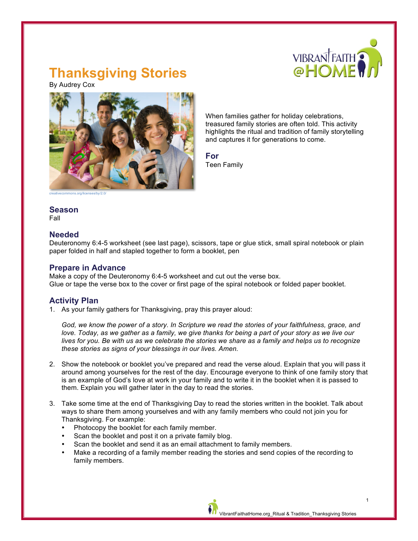

# **Thanksgiving Stories**

By Audrey Cox



When families gather for holiday celebrations, treasured family stories are often told. This activity highlights the ritual and tradition of family storytelling and captures it for generations to come.

**For** Teen Family

creativecommons.org/licenses/by/2.0/

### **Season**

Fall

#### **Needed**

Deuteronomy 6:4-5 worksheet (see last page), scissors, tape or glue stick, small spiral notebook or plain paper folded in half and stapled together to form a booklet, pen

#### **Prepare in Advance**

Make a copy of the Deuteronomy 6:4-5 worksheet and cut out the verse box. Glue or tape the verse box to the cover or first page of the spiral notebook or folded paper booklet.

## **Activity Plan**

1. As your family gathers for Thanksgiving, pray this prayer aloud:

*God, we know the power of a story. In Scripture we read the stories of your faithfulness, grace, and love. Today, as we gather as a family, we give thanks for being a part of your story as we live our lives for you. Be with us as we celebrate the stories we share as a family and helps us to recognize these stories as signs of your blessings in our lives. Amen.*

- 2. Show the notebook or booklet you've prepared and read the verse aloud. Explain that you will pass it around among yourselves for the rest of the day. Encourage everyone to think of one family story that is an example of God's love at work in your family and to write it in the booklet when it is passed to them. Explain you will gather later in the day to read the stories.
- 3. Take some time at the end of Thanksgiving Day to read the stories written in the booklet. Talk about ways to share them among yourselves and with any family members who could not join you for Thanksgiving. For example:
	- Photocopy the booklet for each family member.
	- Scan the booklet and post it on a private family blog.
	- Scan the booklet and send it as an email attachment to family members.
	- Make a recording of a family member reading the stories and send copies of the recording to family members.